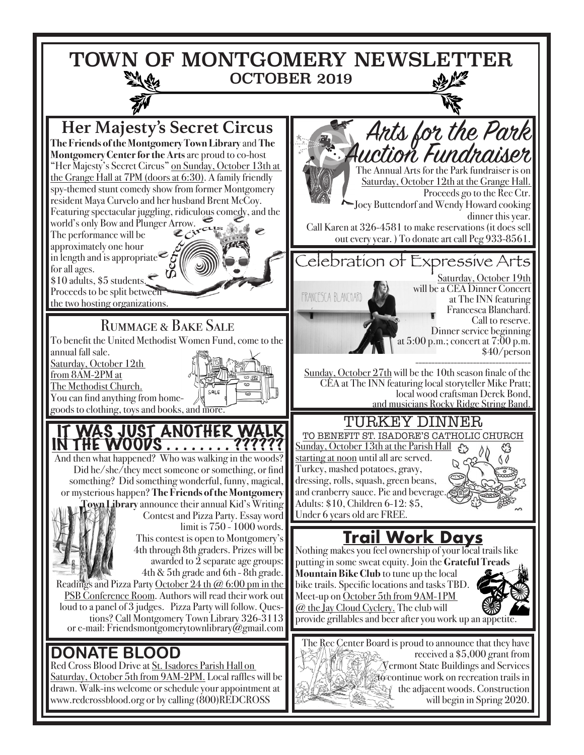